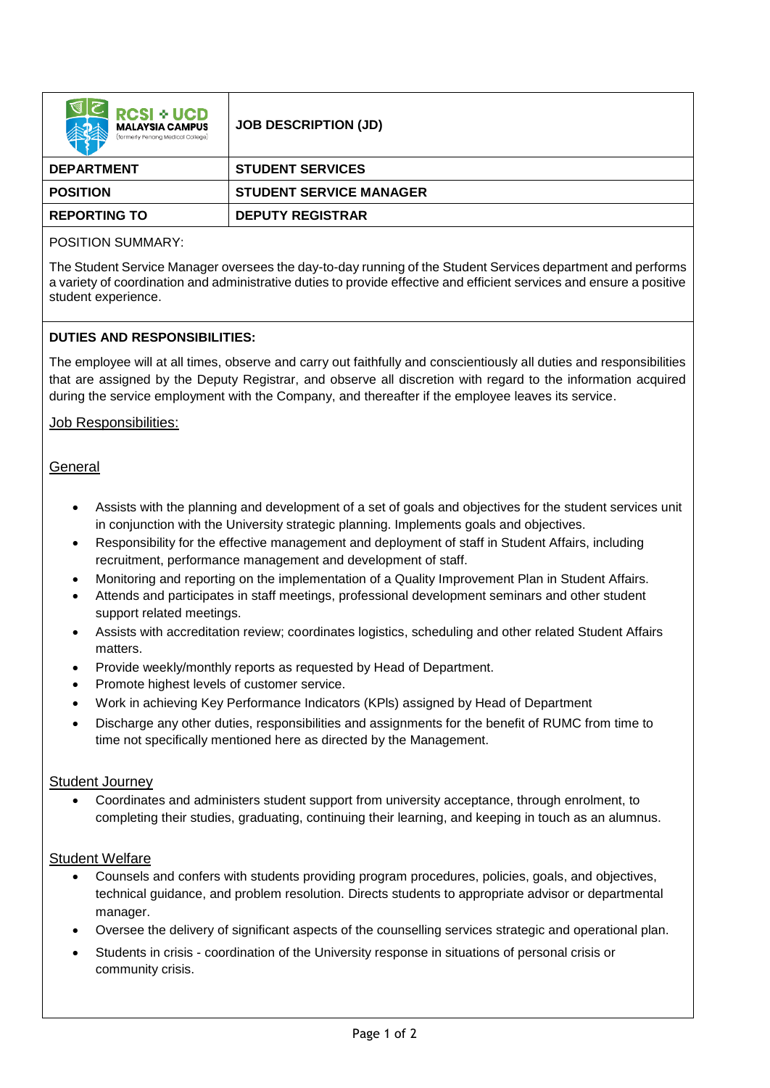| <b>RCSI + UCD</b><br><b>MALAYSIA CAMPUS</b><br>(formerly Penana Medical College) | <b>JOB DESCRIPTION (JD)</b>    |
|----------------------------------------------------------------------------------|--------------------------------|
| <b>DEPARTMENT</b>                                                                | <b>STUDENT SERVICES</b>        |
| <b>POSITION</b>                                                                  | <b>STUDENT SERVICE MANAGER</b> |
| <b>REPORTING TO</b>                                                              | <b>DEPUTY REGISTRAR</b>        |

# POSITION SUMMARY:

The Student Service Manager oversees the day-to-day running of the Student Services department and performs a variety of coordination and administrative duties to provide effective and efficient services and ensure a positive student experience.

## **DUTIES AND RESPONSIBILITIES:**

The employee will at all times, observe and carry out faithfully and conscientiously all duties and responsibilities that are assigned by the Deputy Registrar, and observe all discretion with regard to the information acquired during the service employment with the Company, and thereafter if the employee leaves its service.

## Job Responsibilities:

## **General**

- Assists with the planning and development of a set of goals and objectives for the student services unit in conjunction with the University strategic planning. Implements goals and objectives.
- Responsibility for the effective management and deployment of staff in Student Affairs, including recruitment, performance management and development of staff.
- Monitoring and reporting on the implementation of a Quality Improvement Plan in Student Affairs.
- Attends and participates in staff meetings, professional development seminars and other student support related meetings.
- Assists with accreditation review; coordinates logistics, scheduling and other related Student Affairs matters.
- Provide weekly/monthly reports as requested by Head of Department.
- Promote highest levels of customer service.
- Work in achieving Key Performance Indicators (KPls) assigned by Head of Department
- Discharge any other duties, responsibilities and assignments for the benefit of RUMC from time to time not specifically mentioned here as directed by the Management.

### Student Journey

• Coordinates and administers student support from university acceptance, through enrolment, to completing their studies, graduating, continuing their learning, and keeping in touch as an alumnus.

### Student Welfare

- Counsels and confers with students providing program procedures, policies, goals, and objectives, technical guidance, and problem resolution. Directs students to appropriate advisor or departmental manager.
- Oversee the delivery of significant aspects of the counselling services strategic and operational plan.
- Students in crisis coordination of the University response in situations of personal crisis or community crisis.